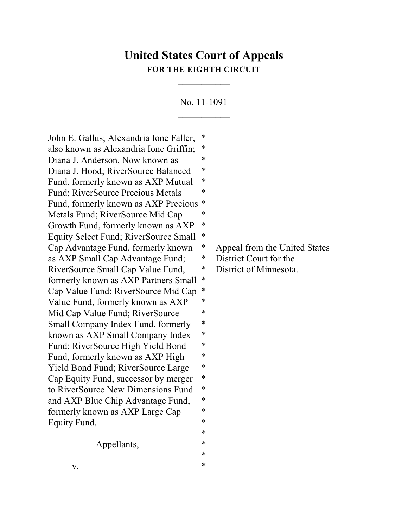## **United States Court of Appeals FOR THE EIGHTH CIRCUIT**

 $\overline{\phantom{a}}$ 

No. 11-1091  $\frac{1}{2}$ 

John E. Gallus; Alexandria Ione Faller, \* also known as Alexandria Ione Griffin; \* Diana J. Anderson, Now known as  $*$ Diana J. Hood; RiverSource Balanced \* Fund, formerly known as AXP Mutual \* Fund; RiverSource Precious Metals  $*$ Fund, formerly known as AXP Precious \* Metals Fund; RiverSource Mid Cap  $*$ Growth Fund, formerly known as AXP  $*$ Equity Select Fund; RiverSource Small \* Cap Advantage Fund, formerly known \* Appeal from the United States as AXP Small Cap Advantage Fund; \* District Court for the RiverSource Small Cap Value Fund, \* District of Minnesota. formerly known as AXP Partners Small \* Cap Value Fund; RiverSource Mid Cap \* Value Fund, formerly known as AXP  $*$ Mid Cap Value Fund; RiverSource  $*$ Small Company Index Fund, formerly  $*$ known as AXP Small Company Index \* Fund; RiverSource High Yield Bond  $*$ Fund, formerly known as AXP High  $*$ Yield Bond Fund; RiverSource Large  $*$ Cap Equity Fund, successor by merger \* to RiverSource New Dimensions Fund \* and AXP Blue Chip Advantage Fund, \* formerly known as AXP Large Cap \* Equity Fund, \*

Appellants,  $*$ 

\*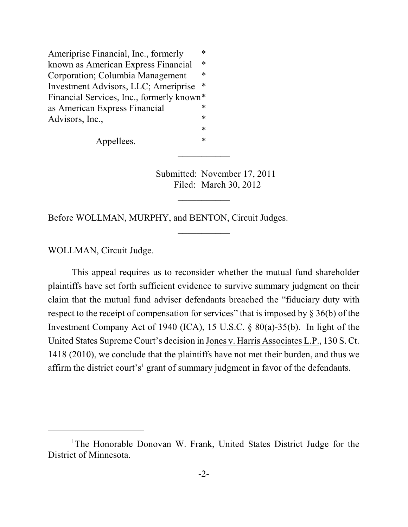Ameriprise Financial, Inc., formerly  $*$ known as American Express Financial \* Corporation; Columbia Management \* Investment Advisors, LLC; Ameriprise \* Financial Services, Inc., formerly known\* as American Express Financial \* Advisors, Inc., \*

Appellees.  $*$ 

Submitted: November 17, 2011 Filed: March 30, 2012

 $\overline{\phantom{a}}$ 

 $\frac{1}{2}$ 

 $\overline{\phantom{a}}$ 

Before WOLLMAN, MURPHY, and BENTON, Circuit Judges.

WOLLMAN, Circuit Judge.

This appeal requires us to reconsider whether the mutual fund shareholder plaintiffs have set forth sufficient evidence to survive summary judgment on their claim that the mutual fund adviser defendants breached the "fiduciary duty with respect to the receipt of compensation for services" that is imposed by § 36(b) of the Investment Company Act of 1940 (ICA), 15 U.S.C. § 80(a)-35(b). In light of the United States Supreme Court's decision in Jones v. Harris Associates L.P., 130 S. Ct. 1418 (2010), we conclude that the plaintiffs have not met their burden, and thus we affirm the district court's<sup>1</sup> grant of summary judgment in favor of the defendants.

<sup>&</sup>lt;sup>1</sup>The Honorable Donovan W. Frank, United States District Judge for the District of Minnesota.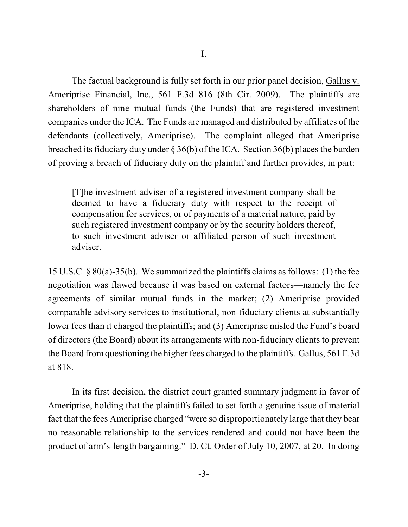The factual background is fully set forth in our prior panel decision, Gallus v. Ameriprise Financial, Inc., 561 F.3d 816 (8th Cir. 2009). The plaintiffs are shareholders of nine mutual funds (the Funds) that are registered investment companies under the ICA. The Funds are managed and distributed by affiliates of the defendants (collectively, Ameriprise). The complaint alleged that Ameriprise breached its fiduciary duty under  $\S 36(b)$  of the ICA. Section 36(b) places the burden of proving a breach of fiduciary duty on the plaintiff and further provides, in part:

[T]he investment adviser of a registered investment company shall be deemed to have a fiduciary duty with respect to the receipt of compensation for services, or of payments of a material nature, paid by such registered investment company or by the security holders thereof, to such investment adviser or affiliated person of such investment adviser.

15 U.S.C. § 80(a)-35(b). We summarized the plaintiffs claims as follows: (1) the fee negotiation was flawed because it was based on external factors—namely the fee agreements of similar mutual funds in the market; (2) Ameriprise provided comparable advisory services to institutional, non-fiduciary clients at substantially lower fees than it charged the plaintiffs; and (3) Ameriprise misled the Fund's board of directors (the Board) about its arrangements with non-fiduciary clients to prevent the Board fromquestioning the higher fees charged to the plaintiffs. Gallus, 561 F.3d at 818.

In its first decision, the district court granted summary judgment in favor of Ameriprise, holding that the plaintiffs failed to set forth a genuine issue of material fact that the fees Ameriprise charged "were so disproportionately large that they bear no reasonable relationship to the services rendered and could not have been the product of arm's-length bargaining." D. Ct. Order of July 10, 2007, at 20. In doing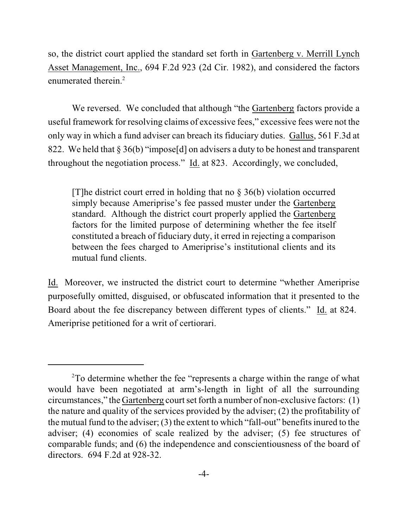so, the district court applied the standard set forth in Gartenberg v. Merrill Lynch Asset Management, Inc., 694 F.2d 923 (2d Cir. 1982), and considered the factors enumerated therein.<sup>2</sup>

We reversed. We concluded that although "the Gartenberg factors provide a useful framework for resolving claims of excessive fees," excessive fees were not the only way in which a fund adviser can breach its fiduciary duties. Gallus, 561 F.3d at 822. We held that § 36(b) "impose[d] on advisers a duty to be honest and transparent throughout the negotiation process." Id. at 823. Accordingly, we concluded,

[T]he district court erred in holding that no  $\S$  36(b) violation occurred simply because Ameriprise's fee passed muster under the Gartenberg standard. Although the district court properly applied the Gartenberg factors for the limited purpose of determining whether the fee itself constituted a breach of fiduciary duty, it erred in rejecting a comparison between the fees charged to Ameriprise's institutional clients and its mutual fund clients.

Id. Moreover, we instructed the district court to determine "whether Ameriprise purposefully omitted, disguised, or obfuscated information that it presented to the Board about the fee discrepancy between different types of clients." Id. at 824. Ameriprise petitioned for a writ of certiorari.

 $2^2$ To determine whether the fee "represents a charge within the range of what would have been negotiated at arm's-length in light of all the surrounding circumstances," the Gartenberg court set forth a number of non-exclusive factors: (1) the nature and quality of the services provided by the adviser; (2) the profitability of the mutual fund to the adviser; (3) the extent to which "fall-out" benefits inured to the adviser; (4) economies of scale realized by the adviser; (5) fee structures of comparable funds; and (6) the independence and conscientiousness of the board of directors. 694 F.2d at 928-32.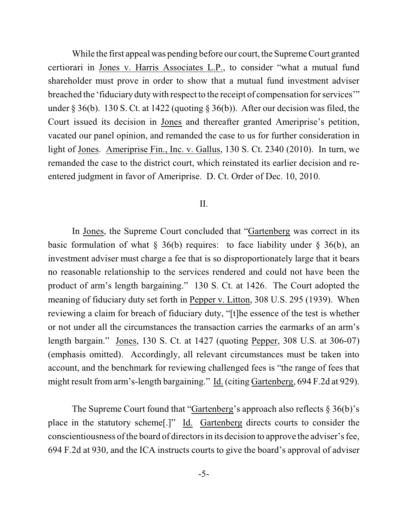While the first appeal was pending before our court, the Supreme Court granted certiorari in Jones v. Harris Associates L.P., to consider "what a mutual fund shareholder must prove in order to show that a mutual fund investment adviser breached the 'fiduciary duty with respect to the receipt of compensation for services'" under § 36(b). 130 S. Ct. at 1422 (quoting § 36(b)). After our decision was filed, the Court issued its decision in Jones and thereafter granted Ameriprise's petition, vacated our panel opinion, and remanded the case to us for further consideration in light of Jones. Ameriprise Fin., Inc. v. Gallus, 130 S. Ct. 2340 (2010). In turn, we remanded the case to the district court, which reinstated its earlier decision and reentered judgment in favor of Ameriprise. D. Ct. Order of Dec. 10, 2010.

## II.

In Jones, the Supreme Court concluded that "Gartenberg was correct in its basic formulation of what  $\S$  36(b) requires: to face liability under  $\S$  36(b), an investment adviser must charge a fee that is so disproportionately large that it bears no reasonable relationship to the services rendered and could not have been the product of arm's length bargaining." 130 S. Ct. at 1426. The Court adopted the meaning of fiduciary duty set forth in Pepper v. Litton, 308 U.S. 295 (1939). When reviewing a claim for breach of fiduciary duty, "[t]he essence of the test is whether or not under all the circumstances the transaction carries the earmarks of an arm's length bargain." Jones, 130 S. Ct. at 1427 (quoting Pepper, 308 U.S. at 306-07) (emphasis omitted). Accordingly, all relevant circumstances must be taken into account, and the benchmark for reviewing challenged fees is "the range of fees that might result from arm's-length bargaining." Id. (citing Gartenberg, 694 F.2d at 929).

The Supreme Court found that "Gartenberg's approach also reflects § 36(b)'s place in the statutory scheme[.]" Id. Gartenberg directs courts to consider the conscientiousness ofthe board of directors in its decision to approve the adviser's fee, 694 F.2d at 930, and the ICA instructs courts to give the board's approval of adviser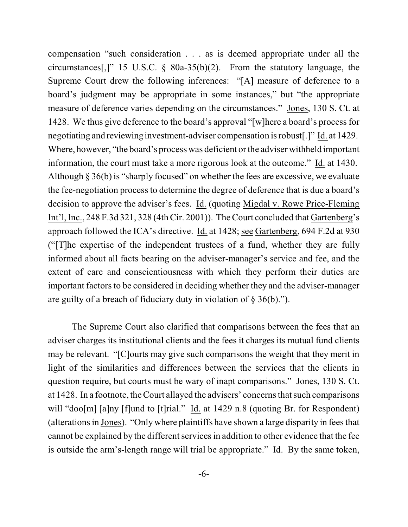compensation "such consideration . . . as is deemed appropriate under all the circumstances[,]" 15 U.S.C. § 80a-35(b)(2). From the statutory language, the Supreme Court drew the following inferences: "[A] measure of deference to a board's judgment may be appropriate in some instances," but "the appropriate measure of deference varies depending on the circumstances." Jones, 130 S. Ct. at 1428. We thus give deference to the board's approval "[w]here a board's process for negotiating and reviewing investment-adviser compensation isrobust[.]" Id. at 1429. Where, however, "the board's process was deficient or the adviser withheld important information, the court must take a more rigorous look at the outcome." Id. at 1430. Although § 36(b) is "sharply focused" on whether the fees are excessive, we evaluate the fee-negotiation process to determine the degree of deference that is due a board's decision to approve the adviser's fees. Id. (quoting Migdal v. Rowe Price-Fleming Int'l, Inc., 248 F.3d 321, 328 (4th Cir. 2001)). The Court concluded that Gartenberg's approach followed the ICA's directive. Id. at 1428; see Gartenberg, 694 F.2d at 930 ("[T]he expertise of the independent trustees of a fund, whether they are fully informed about all facts bearing on the adviser-manager's service and fee, and the extent of care and conscientiousness with which they perform their duties are important factors to be considered in deciding whether they and the adviser-manager are guilty of a breach of fiduciary duty in violation of § 36(b).").

The Supreme Court also clarified that comparisons between the fees that an adviser charges its institutional clients and the fees it charges its mutual fund clients may be relevant. "[C]ourts may give such comparisons the weight that they merit in light of the similarities and differences between the services that the clients in question require, but courts must be wary of inapt comparisons." Jones, 130 S. Ct. at 1428. In a footnote, the Court allayed the advisers' concerns thatsuch comparisons will "doo[m] [a]ny [f]und to [t]rial." Id. at 1429 n.8 (quoting Br. for Respondent) (alterations in Jones). "Only where plaintiffs have shown a large disparity in fees that cannot be explained by the different servicesin addition to other evidence that the fee is outside the arm's-length range will trial be appropriate." Id. By the same token,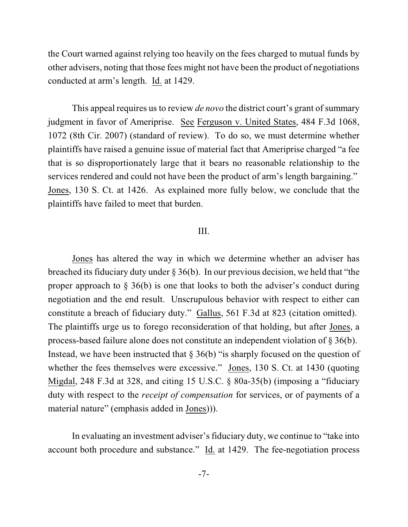the Court warned against relying too heavily on the fees charged to mutual funds by other advisers, noting that those fees might not have been the product of negotiations conducted at arm's length. Id. at 1429.

This appeal requires us to review *de novo* the district court's grant of summary judgment in favor of Ameriprise. See Ferguson v. United States, 484 F.3d 1068, 1072 (8th Cir. 2007) (standard of review). To do so, we must determine whether plaintiffs have raised a genuine issue of material fact that Ameriprise charged "a fee that is so disproportionately large that it bears no reasonable relationship to the services rendered and could not have been the product of arm's length bargaining." Jones, 130 S. Ct. at 1426. As explained more fully below, we conclude that the plaintiffs have failed to meet that burden.

## III.

Jones has altered the way in which we determine whether an adviser has breached its fiduciary duty under § 36(b). In our previous decision, we held that "the proper approach to § 36(b) is one that looks to both the adviser's conduct during negotiation and the end result. Unscrupulous behavior with respect to either can constitute a breach of fiduciary duty." Gallus, 561 F.3d at 823 (citation omitted). The plaintiffs urge us to forego reconsideration of that holding, but after Jones, a process-based failure alone does not constitute an independent violation of § 36(b). Instead, we have been instructed that  $\S 36(b)$  "is sharply focused on the question of whether the fees themselves were excessive." Jones, 130 S. Ct. at 1430 (quoting Migdal, 248 F.3d at 328, and citing 15 U.S.C. § 80a-35(b) (imposing a "fiduciary duty with respect to the *receipt of compensation* for services, or of payments of a material nature" (emphasis added in Jones))).

In evaluating an investment adviser's fiduciary duty, we continue to "take into account both procedure and substance."  $\underline{Id}$  at 1429. The fee-negotiation process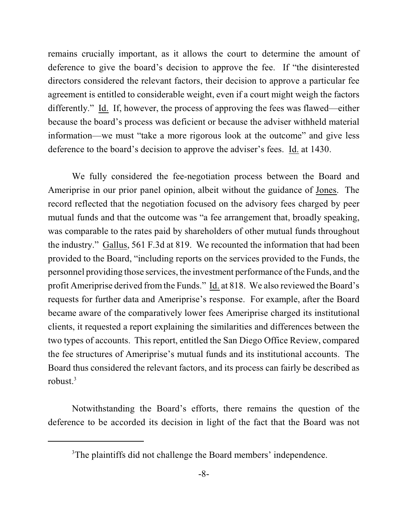remains crucially important, as it allows the court to determine the amount of deference to give the board's decision to approve the fee. If "the disinterested directors considered the relevant factors, their decision to approve a particular fee agreement is entitled to considerable weight, even if a court might weigh the factors differently." Id. If, however, the process of approving the fees was flawed—either because the board's process was deficient or because the adviser withheld material information—we must "take a more rigorous look at the outcome" and give less deference to the board's decision to approve the adviser's fees. Id. at 1430.

We fully considered the fee-negotiation process between the Board and Ameriprise in our prior panel opinion, albeit without the guidance of Jones. The record reflected that the negotiation focused on the advisory fees charged by peer mutual funds and that the outcome was "a fee arrangement that, broadly speaking, was comparable to the rates paid by shareholders of other mutual funds throughout the industry." Gallus, 561 F.3d at 819. We recounted the information that had been provided to the Board, "including reports on the services provided to the Funds, the personnel providing those services, the investment performance of the Funds, and the profit Ameriprise derived fromthe Funds." Id. at 818. We also reviewed the Board's requests for further data and Ameriprise's response. For example, after the Board became aware of the comparatively lower fees Ameriprise charged its institutional clients, it requested a report explaining the similarities and differences between the two types of accounts. This report, entitled the San Diego Office Review, compared the fee structures of Ameriprise's mutual funds and its institutional accounts. The Board thus considered the relevant factors, and its process can fairly be described as robust. 3

Notwithstanding the Board's efforts, there remains the question of the deference to be accorded its decision in light of the fact that the Board was not

<sup>&</sup>lt;sup>3</sup>The plaintiffs did not challenge the Board members' independence.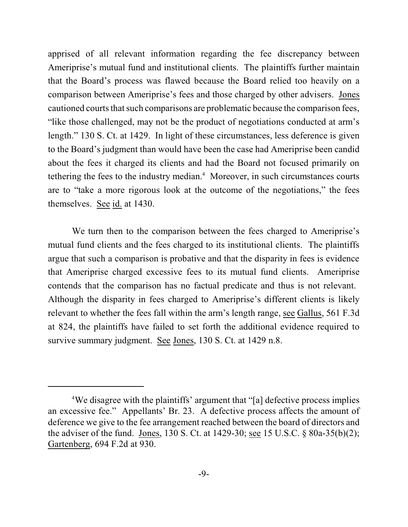apprised of all relevant information regarding the fee discrepancy between Ameriprise's mutual fund and institutional clients. The plaintiffs further maintain that the Board's process was flawed because the Board relied too heavily on a comparison between Ameriprise's fees and those charged by other advisers. Jones cautioned courts that such comparisons are problematic because the comparison fees, "like those challenged, may not be the product of negotiations conducted at arm's length." 130 S. Ct. at 1429. In light of these circumstances, less deference is given to the Board's judgment than would have been the case had Ameriprise been candid about the fees it charged its clients and had the Board not focused primarily on tethering the fees to the industry median. $4$  Moreover, in such circumstances courts are to "take a more rigorous look at the outcome of the negotiations," the fees themselves. See id. at 1430.

We turn then to the comparison between the fees charged to Ameriprise's mutual fund clients and the fees charged to its institutional clients. The plaintiffs argue that such a comparison is probative and that the disparity in fees is evidence that Ameriprise charged excessive fees to its mutual fund clients. Ameriprise contends that the comparison has no factual predicate and thus is not relevant. Although the disparity in fees charged to Ameriprise's different clients is likely relevant to whether the fees fall within the arm's length range, see Gallus, 561 F.3d at 824, the plaintiffs have failed to set forth the additional evidence required to survive summary judgment. See Jones, 130 S. Ct. at 1429 n.8.

<sup>&</sup>lt;sup>4</sup>We disagree with the plaintiffs' argument that "[a] defective process implies an excessive fee." Appellants' Br. 23. A defective process affects the amount of deference we give to the fee arrangement reached between the board of directors and the adviser of the fund. Jones, 130 S. Ct. at 1429-30; see 15 U.S.C. § 80a-35(b)(2); Gartenberg, 694 F.2d at 930.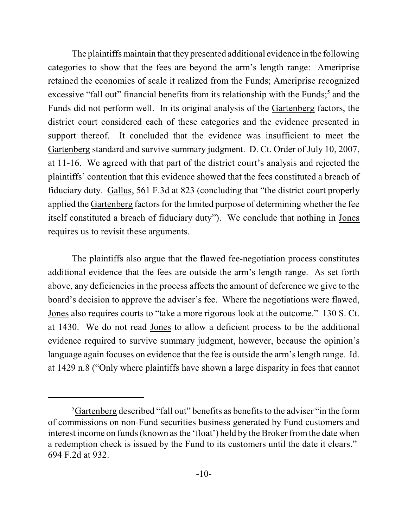The plaintiffs maintain that they presented additional evidence in the following categories to show that the fees are beyond the arm's length range: Ameriprise retained the economies of scale it realized from the Funds; Ameriprise recognized excessive "fall out" financial benefits from its relationship with the Funds;<sup>5</sup> and the Funds did not perform well. In its original analysis of the Gartenberg factors, the district court considered each of these categories and the evidence presented in support thereof. It concluded that the evidence was insufficient to meet the Gartenberg standard and survive summary judgment. D. Ct. Order of July 10, 2007, at 11-16. We agreed with that part of the district court's analysis and rejected the plaintiffs' contention that this evidence showed that the fees constituted a breach of fiduciary duty. Gallus, 561 F.3d at 823 (concluding that "the district court properly applied the Gartenberg factors for the limited purpose of determining whether the fee itself constituted a breach of fiduciary duty"). We conclude that nothing in Jones requires us to revisit these arguments.

The plaintiffs also argue that the flawed fee-negotiation process constitutes additional evidence that the fees are outside the arm's length range. As set forth above, any deficiencies in the process affects the amount of deference we give to the board's decision to approve the adviser's fee. Where the negotiations were flawed, Jones also requires courts to "take a more rigorous look at the outcome." 130 S. Ct. at 1430. We do not read Jones to allow a deficient process to be the additional evidence required to survive summary judgment, however, because the opinion's language again focuses on evidence that the fee is outside the arm's length range. Id. at 1429 n.8 ("Only where plaintiffs have shown a large disparity in fees that cannot

 ${}^{5}$ Gartenberg described "fall out" benefits as benefits to the adviser "in the form of commissions on non-Fund securities business generated by Fund customers and interest income on funds (known as the 'float') held by the Broker from the date when a redemption check is issued by the Fund to its customers until the date it clears." 694 F.2d at 932.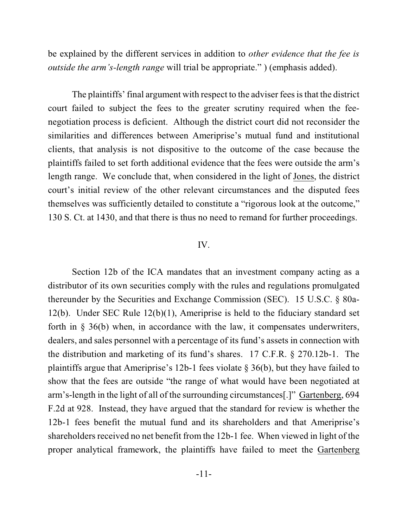be explained by the different services in addition to *other evidence that the fee is outside the arm's-length range* will trial be appropriate." ) (emphasis added).

The plaintiffs' final argument with respect to the adviser fees is that the district court failed to subject the fees to the greater scrutiny required when the feenegotiation process is deficient. Although the district court did not reconsider the similarities and differences between Ameriprise's mutual fund and institutional clients, that analysis is not dispositive to the outcome of the case because the plaintiffs failed to set forth additional evidence that the fees were outside the arm's length range. We conclude that, when considered in the light of Jones, the district court's initial review of the other relevant circumstances and the disputed fees themselves was sufficiently detailed to constitute a "rigorous look at the outcome," 130 S. Ct. at 1430, and that there is thus no need to remand for further proceedings.

## IV.

Section 12b of the ICA mandates that an investment company acting as a distributor of its own securities comply with the rules and regulations promulgated thereunder by the Securities and Exchange Commission (SEC). 15 U.S.C. § 80a-12(b). Under SEC Rule 12(b)(1), Ameriprise is held to the fiduciary standard set forth in § 36(b) when, in accordance with the law, it compensates underwriters, dealers, and sales personnel with a percentage of its fund's assets in connection with the distribution and marketing of its fund's shares. 17 C.F.R. § 270.12b-1. The plaintiffs argue that Ameriprise's 12b-1 fees violate § 36(b), but they have failed to show that the fees are outside "the range of what would have been negotiated at arm's-length in the light of all of the surrounding circumstances[.]" Gartenberg, 694 F.2d at 928. Instead, they have argued that the standard for review is whether the 12b-1 fees benefit the mutual fund and its shareholders and that Ameriprise's shareholders received no net benefit from the 12b-1 fee. When viewed in light of the proper analytical framework, the plaintiffs have failed to meet the Gartenberg